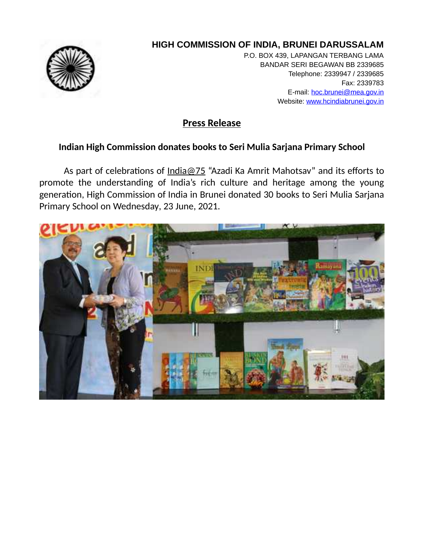

## **HIGH COMMISSION OF INDIA, BRUNEI DARUSSALAM**

P.O. BOX 439, LAPANGAN TERBANG LAMA BANDAR SERI BEGAWAN BB 2339685 Telephone: 2339947 / 2339685 Fax: 2339783 E-mail: hoc.brunei@mea.gov.in Website: www.hcindiabrunei.gov.in

## **Press Release**

## **Indian High Commission donates books to Seri Mulia Sarjana Primary School**

As part of celebrations of [India@75](mailto:India@75) "Azadi Ka Amrit Mahotsav" and its efforts to promote the understanding of India's rich culture and heritage among the young generation, High Commission of India in Brunei donated 30 books to Seri Mulia Sarjana Primary School on Wednesday, 23 June, 2021.

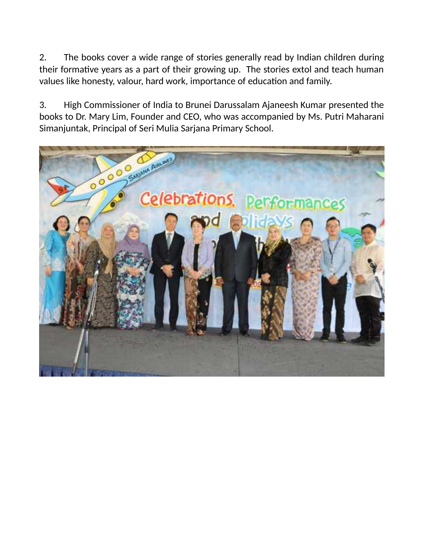2. The books cover a wide range of stories generally read by Indian children during their formative years as a part of their growing up. The stories extol and teach human values like honesty, valour, hard work, importance of education and family.

3. High Commissioner of India to Brunei Darussalam Ajaneesh Kumar presented the books to Dr. Mary Lim, Founder and CEO, who was accompanied by Ms. Putri Maharani Simanjuntak, Principal of Seri Mulia Sarjana Primary School.